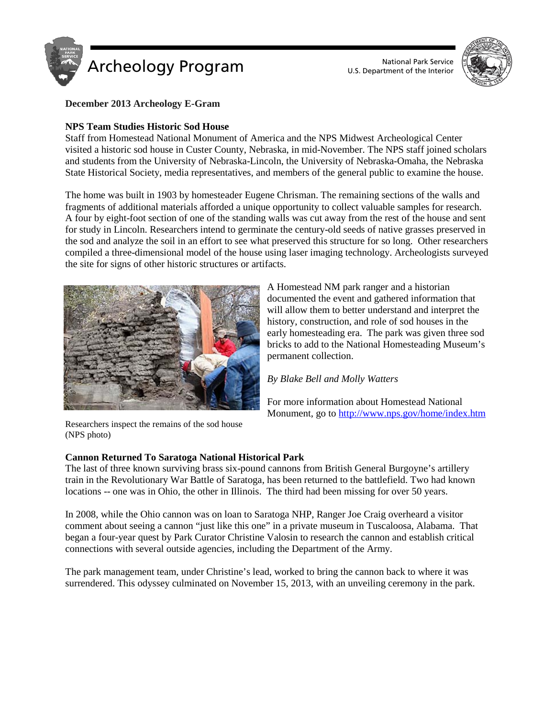



**December 2013 Archeology E-Gram**

# **NPS Team Studies Historic Sod House**

Staff from Homestead National Monument of America and the NPS Midwest Archeological Center visited a historic sod house in Custer County, Nebraska, in mid-November. The NPS staff joined scholars and students from the University of Nebraska-Lincoln, the University of Nebraska-Omaha, the Nebraska State Historical Society, media representatives, and members of the general public to examine the house.

The home was built in 1903 by homesteader Eugene Chrisman. The remaining sections of the walls and fragments of additional materials afforded a unique opportunity to collect valuable samples for research. A four by eight-foot section of one of the standing walls was cut away from the rest of the house and sent for study in Lincoln. Researchers intend to germinate the century-old seeds of native grasses preserved in the sod and analyze the soil in an effort to see what preserved this structure for so long. Other researchers compiled a three-dimensional model of the house using laser imaging technology. Archeologists surveyed the site for signs of other historic structures or artifacts.



A Homestead NM park ranger and a historian documented the event and gathered information that will allow them to better understand and interpret the history, construction, and role of sod houses in the early homesteading era. The park was given three sod bricks to add to the National Homesteading Museum's permanent collection.

*By Blake Bell and Molly Watters*

For more information about Homestead National Monument, go t[o http://www.nps.gov/home/index.htm](http://www.nps.gov/home/index.htm)

Researchers inspect the remains of the sod house (NPS photo)

# **Cannon Returned To Saratoga National Historical Park**

The last of three known surviving brass six-pound cannons from British General Burgoyne's artillery train in the Revolutionary War Battle of Saratoga, has been returned to the battlefield. Two had known locations -- one was in Ohio, the other in Illinois. The third had been missing for over 50 years.

In 2008, while the Ohio cannon was on loan to Saratoga NHP, Ranger Joe Craig overheard a visitor comment about seeing a cannon "just like this one" in a private museum in Tuscaloosa, Alabama. That began a four-year quest by Park Curator Christine Valosin to research the cannon and establish critical connections with several outside agencies, including the Department of the Army.

The park management team, under Christine's lead, worked to bring the cannon back to where it was surrendered. This odyssey culminated on November 15, 2013, with an unveiling ceremony in the park.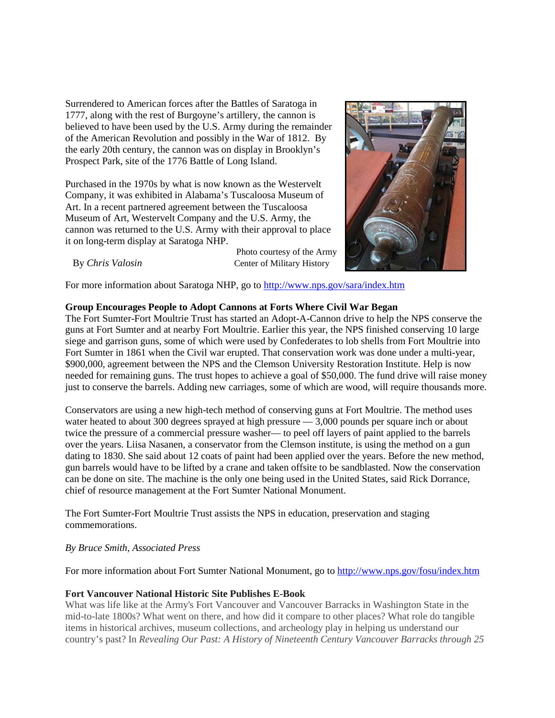Surrendered to American forces after the Battles of Saratoga in 1777, along with the rest of Burgoyne's artillery, the cannon is believed to have been used by the U.S. Army during the remainder of the American Revolution and possibly in the War of 1812. By the early 20th century, the cannon was on display in Brooklyn's Prospect Park, site of the 1776 Battle of Long Island.

Purchased in the 1970s by what is now known as the Westervelt Company, it was exhibited in Alabama's Tuscaloosa Museum of Art. In a recent partnered agreement between the Tuscaloosa Museum of Art, Westervelt Company and the U.S. Army, the cannon was returned to the U.S. Army with their approval to place it on long-term display at Saratoga NHP.



Photo courtesy of the Army By *[Chris Valosin](mailto:christine_valosin@nps.gov)* Center of Military History

For more information about Saratoga NHP, go to<http://www.nps.gov/sara/index.htm>

# **Group Encourages People to Adopt Cannons at Forts Where Civil War Began**

The Fort Sumter-Fort Moultrie Trust has started an Adopt-A-Cannon drive to help the NPS conserve the guns at Fort Sumter and at nearby Fort Moultrie. Earlier this year, the NPS finished conserving 10 large siege and garrison guns, some of which were used by Confederates to lob shells from Fort Moultrie into Fort Sumter in 1861 when the Civil war erupted. That conservation work was done under a multi-year, \$900,000, agreement between the NPS and the Clemson University Restoration Institute. Help is now needed for remaining guns. The trust hopes to achieve a goal of \$50,000. The fund drive will raise money just to conserve the barrels. Adding new carriages, some of which are wood, will require thousands more.

Conservators are using a new high-tech method of conserving guns at Fort Moultrie. The method uses water heated to about 300 degrees sprayed at high pressure — 3,000 pounds per square inch or about twice the pressure of a commercial pressure washer— to peel off layers of paint applied to the barrels over the years. Liisa Nasanen, a conservator from the Clemson institute, is using the method on a gun dating to 1830. She said about 12 coats of paint had been applied over the years. Before the new method, gun barrels would have to be lifted by a crane and taken offsite to be sandblasted. Now the conservation can be done on site. The machine is the only one being used in the United States, said Rick Dorrance, chief of resource management at the Fort Sumter National Monument.

The Fort Sumter-Fort Moultrie Trust assists the NPS in education, preservation and staging commemorations.

# *By Bruce Smith, Associated Press*

For more information about Fort Sumter National Monument, go to<http://www.nps.gov/fosu/index.htm>

# **Fort Vancouver National Historic Site Publishes E-Book**

What was life like at the Army's Fort Vancouver and Vancouver Barracks in Washington State in the mid-to-late 1800s? What went on there, and how did it compare to other places? What role do tangible items in historical archives, museum collections, and archeology play in helping us understand our country's past? In *Revealing Our Past: A History of Nineteenth Century Vancouver Barracks through 25*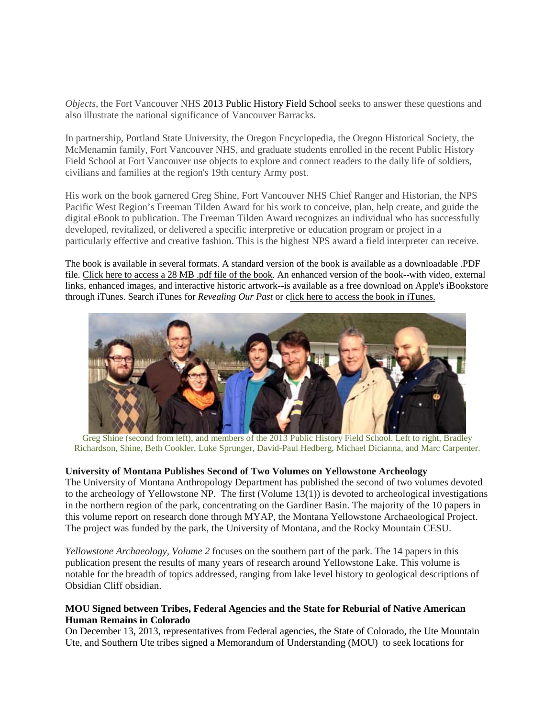*Objects*, the Fort Vancouver NHS 2013 Public History Field School seeks to answer these questions and also illustrate the national significance of Vancouver Barracks.

In partnership, Portland State University, the Oregon Encyclopedia, the Oregon Historical Society, the McMenamin family, Fort Vancouver NHS, and graduate students enrolled in the recent Public History Field School at Fort Vancouver use objects to explore and connect readers to the daily life of soldiers, civilians and families at the region's 19th century Army post.

His work on the book garnered Greg Shine, Fort Vancouver NHS Chief Ranger and Historian, the NPS Pacific West Region's Freeman Tilden Award for his work to conceive, plan, help create, and guide the digital eBook to publication. The Freeman Tilden Award recognizes an individual who has successfully developed, revitalized, or delivered a specific interpretive or education program or project in a particularly effective and creative fashion. This is the highest NPS award a field interpreter can receive.

The book is available in several formats. A standard version of the book is available as a downloadable .PDF file. [Click here to access a 28 MB .pdf file of the book.](http://www.nps.gov/fova/photosmultimedia/upload/FTV-Ebook-Final-smaller.pdf) An enhanced version of the book--with video, external links, enhanced images, and interactive historic artwork--is available as a free download on Apple's iBookstore through iTunes. Search iTunes for *Revealing Our Past* or [click here to access the book in iTunes.](https://itunes.apple.com/us/book/revealing-our-past-history/id666181014?ls=1)



Greg Shine (second from left), and members of the 2013 Public History Field School. Left to right, Bradley Richardson, Shine, Beth Cookler, Luke Sprunger, David-Paul Hedberg, Michael Dicianna, and Marc Carpenter.

#### **University of Montana Publishes Second of Two Volumes on Yellowstone Archeology**

The University of Montana Anthropology Department has published the second of two volumes devoted to the archeology of Yellowstone NP. The first (Volume 13(1)) is devoted to archeological investigations in the northern region of the park, concentrating on the Gardiner Basin. The majority of the 10 papers in this volume report on research done through MYAP, the Montana Yellowstone Archaeological Project. The project was funded by the park, the University of Montana, and the Rocky Mountain CESU.

*Yellowstone Archaeology, Volume 2* focuses on the southern part of the park. The 14 papers in this publication present the results of many years of research around Yellowstone Lake. This volume is notable for the breadth of topics addressed, ranging from lake level history to geological descriptions of Obsidian Cliff obsidian.

# **MOU Signed between Tribes, Federal Agencies and the State for Reburial of Native American Human Remains in Colorado**

On December 13, 2013, representatives from Federal agencies, the State of Colorado, the Ute Mountain Ute, and Southern Ute tribes signed a Memorandum of Understanding (MOU) to seek locations for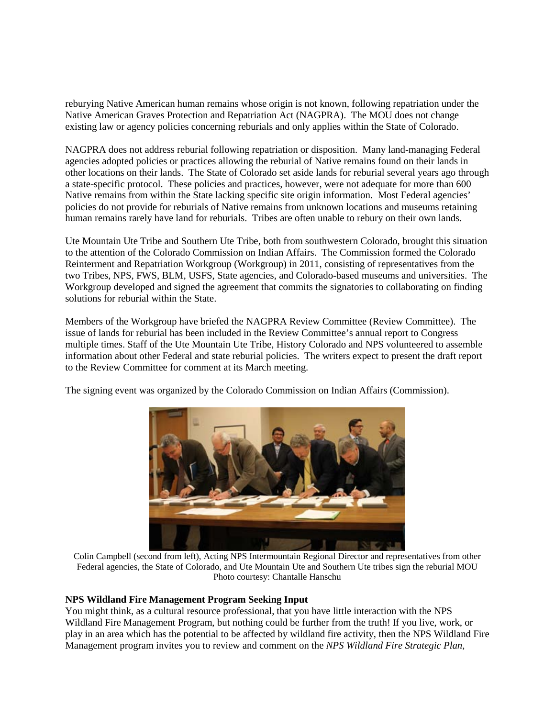reburying Native American human remains whose origin is not known, following repatriation under the Native American Graves Protection and Repatriation Act (NAGPRA). The MOU does not change existing law or agency policies concerning reburials and only applies within the State of Colorado.

NAGPRA does not address reburial following repatriation or disposition. Many land-managing Federal agencies adopted policies or practices allowing the reburial of Native remains found on their lands in other locations on their lands. The State of Colorado set aside lands for reburial several years ago through a state-specific protocol. These policies and practices, however, were not adequate for more than 600 Native remains from within the State lacking specific site origin information. Most Federal agencies' policies do not provide for reburials of Native remains from unknown locations and museums retaining human remains rarely have land for reburials. Tribes are often unable to rebury on their own lands.

Ute Mountain Ute Tribe and Southern Ute Tribe, both from southwestern Colorado, brought this situation to the attention of the Colorado Commission on Indian Affairs. The Commission formed the Colorado Reinterment and Repatriation Workgroup (Workgroup) in 2011, consisting of representatives from the two Tribes, NPS, FWS, BLM, USFS, State agencies, and Colorado-based museums and universities. The Workgroup developed and signed the agreement that commits the signatories to collaborating on finding solutions for reburial within the State.

Members of the Workgroup have briefed the NAGPRA Review Committee (Review Committee). The issue of lands for reburial has been included in the Review Committee's annual report to Congress multiple times. Staff of the Ute Mountain Ute Tribe, History Colorado and NPS volunteered to assemble information about other Federal and state reburial policies. The writers expect to present the draft report to the Review Committee for comment at its March meeting.

The signing event was organized by the Colorado Commission on Indian Affairs (Commission).



Colin Campbell (second from left), Acting NPS Intermountain Regional Director and representatives from other Federal agencies, the State of Colorado, and Ute Mountain Ute and Southern Ute tribes sign the reburial MOU Photo courtesy: Chantalle Hanschu

#### **NPS Wildland Fire Management Program Seeking Input**

You might think, as a cultural resource professional, that you have little interaction with the NPS Wildland Fire Management Program, but nothing could be further from the truth! If you live, work, or play in an area which has the potential to be affected by wildland fire activity, then the NPS Wildland Fire Management program invites you to review and comment on the *NPS Wildland Fire Strategic Plan,*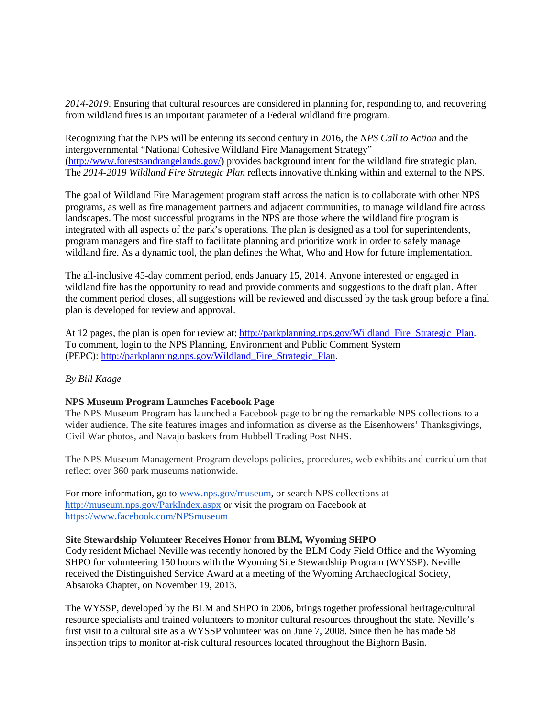*2014-2019*. Ensuring that cultural resources are considered in planning for, responding to, and recovering from wildland fires is an important parameter of a Federal wildland fire program.

Recognizing that the NPS will be entering its second century in 2016, the *NPS Call to Action* and the intergovernmental "National Cohesive Wildland Fire Management Strategy" [\(http://www.forestsandrangelands.gov/\)](http://www.forestsandrangelands.gov/) provides background intent for the wildland fire strategic plan. The *2014-2019 Wildland Fire Strategic Plan* reflects innovative thinking within and external to the NPS.

The goal of Wildland Fire Management program staff across the nation is to collaborate with other NPS programs, as well as fire management partners and adjacent communities, to manage wildland fire across landscapes. The most successful programs in the NPS are those where the wildland fire program is integrated with all aspects of the park's operations. The plan is designed as a tool for superintendents, program managers and fire staff to facilitate planning and prioritize work in order to safely manage wildland fire. As a dynamic tool, the plan defines the What, Who and How for future implementation.

The all-inclusive 45-day comment period, ends January 15, 2014. Anyone interested or engaged in wildland fire has the opportunity to read and provide comments and suggestions to the draft plan. After the comment period closes, all suggestions will be reviewed and discussed by the task group before a final plan is developed for review and approval.

At 12 pages, the plan is open for review at: [http://parkplanning.nps.gov/Wildland\\_Fire\\_Strategic\\_Plan.](http://parkplanning.nps.gov/Wildland_Fire_Strategic_Plan) To comment, login to the NPS Planning, Environment and Public Comment System (PEPC): [http://parkplanning.nps.gov/Wildland\\_Fire\\_Strategic\\_Plan.](http://parkplanning.nps.gov/Wildland_Fire_Strategic_Plan)

# *By Bill Kaage*

#### **NPS Museum Program Launches Facebook Page**

The NPS Museum Program has launched a Facebook page to bring the remarkable NPS collections to a wider audience. The site features images and information as diverse as the Eisenhowers' Thanksgivings, Civil War photos, and Navajo baskets from Hubbell Trading Post NHS.

The NPS Museum Management Program develops policies, procedures, web exhibits and curriculum that reflect over 360 park museums nationwide.

For more information, go to [www.nps.gov/museum,](http://www.nps.gov/museum) or search NPS collections at <http://museum.nps.gov/ParkIndex.aspx> or visit the program on Facebook at <https://www.facebook.com/NPSmuseum>

#### **Site Stewardship Volunteer Receives Honor from BLM, Wyoming SHPO**

Cody resident Michael Neville was recently honored by the BLM Cody Field Office and the Wyoming SHPO for volunteering 150 hours with the Wyoming Site Stewardship Program (WYSSP). Neville received the Distinguished Service Award at a meeting of the Wyoming Archaeological Society, Absaroka Chapter, on November 19, 2013.

The WYSSP, developed by the BLM and SHPO in 2006, brings together professional heritage/cultural resource specialists and trained volunteers to monitor cultural resources throughout the state. Neville's first visit to a cultural site as a WYSSP volunteer was on June 7, 2008. Since then he has made 58 inspection trips to monitor at-risk cultural resources located throughout the Bighorn Basin.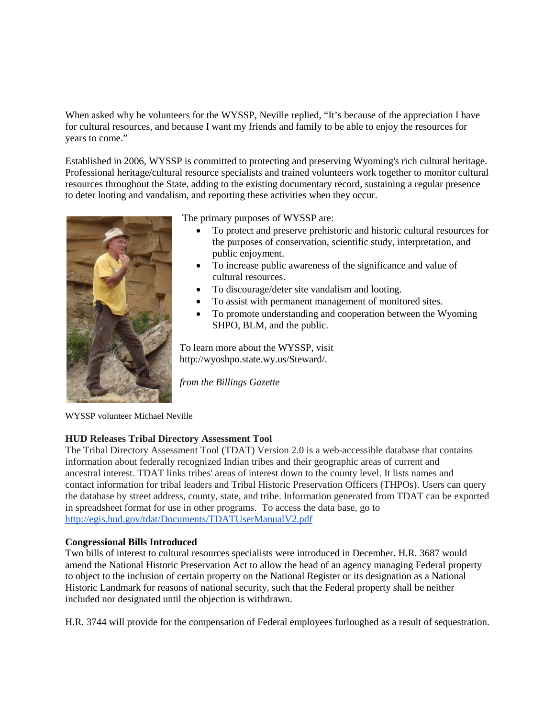When asked why he volunteers for the WYSSP, Neville replied, "It's because of the appreciation I have for cultural resources, and because I want my friends and family to be able to enjoy the resources for years to come."

Established in 2006, WYSSP is committed to protecting and preserving Wyoming's rich cultural heritage. Professional heritage/cultural resource specialists and trained volunteers work together to monitor cultural resources throughout the State, adding to the existing documentary record, sustaining a regular presence to deter looting and vandalism, and reporting these activities when they occur.



The primary purposes of WYSSP are:

- To protect and preserve prehistoric and historic cultural resources for the purposes of conservation, scientific study, interpretation, and public enjoyment.
- To increase public awareness of the significance and value of cultural resources.
- To discourage/deter site vandalism and looting.
- To assist with permanent management of monitored sites.
- To promote understanding and cooperation between the Wyoming SHPO, BLM, and the public.

To learn more about the WYSSP, visit [http://wyoshpo.state.wy.us/Steward/.](http://wyoshpo.state.wy.us/Steward/)

*from the Billings Gazette*

WYSSP volunteer Michael Neville

# **HUD Releases Tribal Directory Assessment Tool**

The Tribal Directory Assessment Tool (TDAT) Version 2.0 is a web-accessible database that contains information about federally recognized Indian tribes and their geographic areas of current and ancestral interest. TDAT links tribes' areas of interest down to the county level. It lists names and contact information for tribal leaders and Tribal Historic Preservation Officers (THPOs). Users can query the database by street address, county, state, and tribe. Information generated from TDAT can be exported in spreadsheet format for use in other programs. To access the data base, go to <http://egis.hud.gov/tdat/Documents/TDATUserManualV2.pdf>

# **Congressional Bills Introduced**

Two bills of interest to cultural resources specialists were introduced in December. H.R. 3687 would amend the National Historic Preservation Act to allow the head of an agency managing Federal property to object to the inclusion of certain property on the National Register or its designation as a National Historic Landmark for reasons of national security, such that the Federal property shall be neither included nor designated until the objection is withdrawn.

H.R. 3744 will provide for the compensation of Federal employees furloughed as a result of sequestration.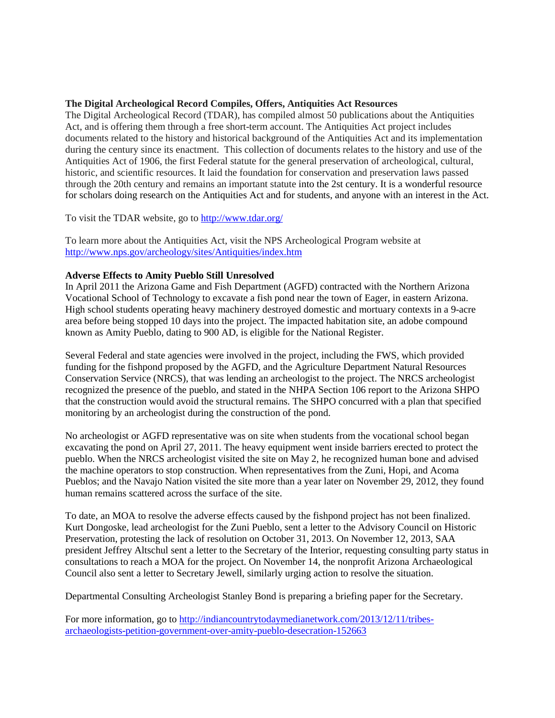#### **The Digital Archeological Record Compiles, Offers, Antiquities Act Resources**

The Digital Archeological Record (TDAR), has compiled almost 50 publications about the Antiquities Act, and is offering them through a free short-term account. The Antiquities Act project includes documents related to the history and historical background of the Antiquities Act and its implementation during the century since its enactment. This collection of documents relates to the history and use of the Antiquities Act of 1906, the first Federal statute for the general preservation of archeological, cultural, historic, and scientific resources. It laid the foundation for conservation and preservation laws passed through the 20th century and remains an important statute into the 2st century. It is a wonderful resource for scholars doing research on the Antiquities Act and for students, and anyone with an interest in the Act.

To visit the TDAR website, go t[o http://www.tdar.org/](http://www.tdar.org/)

To learn more about the Antiquities Act, visit the NPS Archeological Program website at <http://www.nps.gov/archeology/sites/Antiquities/index.htm>

#### **Adverse Effects to Amity Pueblo Still Unresolved**

In April 2011 the Arizona Game and Fish Department (AGFD) contracted with the Northern Arizona Vocational School of Technology to excavate a fish pond near the town of Eager, in eastern Arizona. High school students operating heavy machinery destroyed domestic and mortuary contexts in a 9-acre area before being stopped 10 days into the project. The impacted habitation site, an adobe compound known as Amity Pueblo, dating to 900 AD, is eligible for the National Register.

Several Federal and state agencies were involved in the project, including the FWS, which provided funding for the fishpond proposed by the AGFD, and the Agriculture Department Natural Resources Conservation Service (NRCS), that was lending an archeologist to the project. The NRCS archeologist recognized the presence of the pueblo, and stated in the NHPA Section 106 report to the Arizona SHPO that the construction would avoid the structural remains. The SHPO concurred with a plan that specified monitoring by an archeologist during the construction of the pond.

No archeologist or AGFD representative was on site when students from the vocational school began excavating the pond on April 27, 2011. The heavy equipment went inside barriers erected to protect the pueblo. When the NRCS archeologist visited the site on May 2, he recognized human bone and advised the machine operators to stop construction. When representatives from the Zuni, Hopi, and Acoma Pueblos; and the Navajo Nation visited the site more than a year later on November 29, 2012, they found human remains scattered across the surface of the site.

To date, an MOA to resolve the adverse effects caused by the fishpond project has not been finalized. Kurt Dongoske, lead archeologist for the Zuni Pueblo, sent a letter to the Advisory Council on Historic Preservation, protesting the lack of resolution on October 31, 2013. On November 12, 2013, SAA president Jeffrey Altschul sent a letter to the Secretary of the Interior, requesting consulting party status in consultations to reach a MOA for the project. On November 14, the nonprofit Arizona Archaeological Council also sent a letter to Secretary Jewell, similarly urging action to resolve the situation.

Departmental Consulting Archeologist Stanley Bond is preparing a briefing paper for the Secretary.

For more information, go to [http://indiancountrytodaymedianetwork.com/2013/12/11/tribes](http://indiancountrytodaymedianetwork.com/2013/12/11/tribes-archaeologists-petition-government-over-amity-pueblo-desecration-152663)[archaeologists-petition-government-over-amity-pueblo-desecration-152663](http://indiancountrytodaymedianetwork.com/2013/12/11/tribes-archaeologists-petition-government-over-amity-pueblo-desecration-152663)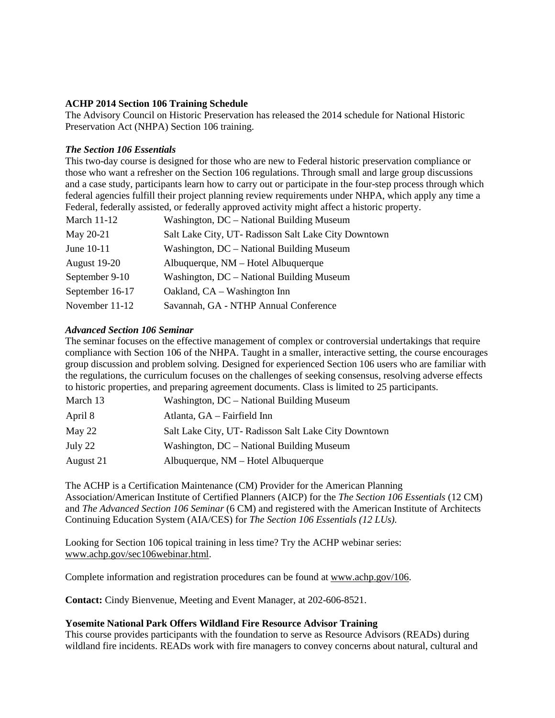# **ACHP 2014 Section 106 Training Schedule**

The Advisory Council on Historic Preservation has released the 2014 schedule for National Historic Preservation Act (NHPA) Section 106 training.

#### *The Section 106 Essentials*

This two-day course is designed for those who are new to Federal historic preservation compliance or those who want a refresher on the Section 106 regulations. Through small and large group discussions and a case study, participants learn how to carry out or participate in the four-step process through which federal agencies fulfill their project planning review requirements under NHPA, which apply any time a Federal, federally assisted, or federally approved activity might affect a historic property.

| March $11-12$   | Washington, DC - National Building Museum           |
|-----------------|-----------------------------------------------------|
| May 20-21       | Salt Lake City, UT-Radisson Salt Lake City Downtown |
| June 10-11      | Washington, DC – National Building Museum           |
| August 19-20    | Albuquerque, NM – Hotel Albuquerque                 |
| September 9-10  | Washington, DC – National Building Museum           |
| September 16-17 | Oakland, CA – Washington Inn                        |
| November 11-12  | Savannah, GA - NTHP Annual Conference               |

#### *Advanced Section 106 Seminar*

The seminar focuses on the effective management of complex or controversial undertakings that require compliance with Section 106 of the NHPA. Taught in a smaller, interactive setting, the course encourages group discussion and problem solving. Designed for experienced Section 106 users who are familiar with the regulations, the curriculum focuses on the challenges of seeking consensus, resolving adverse effects to historic properties, and preparing agreement documents. Class is limited to 25 participants.

| March 13  | Washington, DC – National Building Museum           |
|-----------|-----------------------------------------------------|
| April 8   | Atlanta, GA - Fairfield Inn                         |
| May 22    | Salt Lake City, UT-Radisson Salt Lake City Downtown |
| July 22   | Washington, DC – National Building Museum           |
| August 21 | Albuquerque, NM - Hotel Albuquerque                 |

The ACHP is a Certification Maintenance (CM) Provider for the American Planning Association/American Institute of Certified Planners (AICP) for the *The Section 106 Essentials* (12 CM) and *The Advanced Section 106 Seminar* (6 CM) and registered with the American Institute of Architects Continuing Education System (AIA/CES) for *The Section 106 Essentials (12 LUs).*

Looking for Section 106 topical training in less time? Try the ACHP webinar series: [www.achp.gov/sec106webinar.html.](http://www.achp.gov/sec106webinar.html)

Complete information and registration procedures can be found at [www.achp.gov/106.](http://www.achp.gov/106)

**Contact:** Cindy Bienvenue, Meeting and Event Manager, at 202-606-8521.

#### **Yosemite National Park Offers Wildland Fire Resource Advisor Training**

This course provides participants with the foundation to serve as Resource Advisors (READs) during wildland fire incidents. READs work with fire managers to convey concerns about natural, cultural and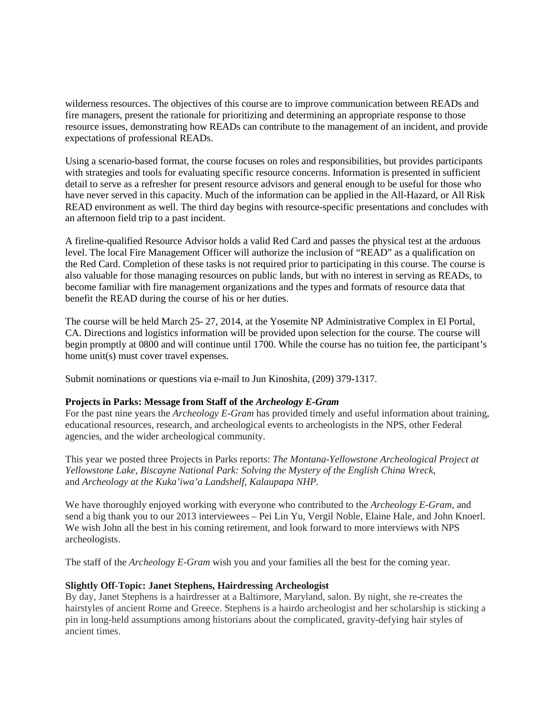wilderness resources. The objectives of this course are to improve communication between READs and fire managers, present the rationale for prioritizing and determining an appropriate response to those resource issues, demonstrating how READs can contribute to the management of an incident, and provide expectations of professional READs.

Using a scenario-based format, the course focuses on roles and responsibilities, but provides participants with strategies and tools for evaluating specific resource concerns. Information is presented in sufficient detail to serve as a refresher for present resource advisors and general enough to be useful for those who have never served in this capacity. Much of the information can be applied in the All-Hazard, or All Risk READ environment as well. The third day begins with resource-specific presentations and concludes with an afternoon field trip to a past incident.

A fireline-qualified Resource Advisor holds a valid Red Card and passes the physical test at the arduous level. The local Fire Management Officer will authorize the inclusion of "READ" as a qualification on the Red Card. Completion of these tasks is not required prior to participating in this course. The course is also valuable for those managing resources on public lands, but with no interest in serving as READs, to become familiar with fire management organizations and the types and formats of resource data that benefit the READ during the course of his or her duties.

The course will be held March 25- 27, 2014, at the Yosemite NP Administrative Complex in El Portal, CA. Directions and logistics information will be provided upon selection for the course. The course will begin promptly at 0800 and will continue until 1700. While the course has no tuition fee, the participant's home unit(s) must cover travel expenses.

Submit nominations or questions via e-mail to Jun Kinoshita, (209) 379-1317.

# **Projects in Parks: Message from Staff of the** *Archeology E-Gram*

For the past nine years the *Archeology E-Gram* has provided timely and useful information about training, educational resources, research, and archeological events to archeologists in the NPS, other Federal agencies, and the wider archeological community.

This year we posted three Projects in Parks reports: *The Montana-Yellowstone Archeological Project at Yellowstone Lake, Biscayne National Park: Solving the Mystery of the English China Wreck*, and *Archeology at the Kuka'iwa'a Landshelf, Kalaupapa NHP.*

We have thoroughly enjoyed working with everyone who contributed to the *Archeology E-Gram*, and send a big thank you to our 2013 interviewees – Pei Lin Yu, Vergil Noble, Elaine Hale, and John Knoerl. We wish John all the best in his coming retirement, and look forward to more interviews with NPS archeologists.

The staff of the *Archeology E-Gram* wish you and your families all the best for the coming year.

# **Slightly Off-Topic: Janet Stephens, Hairdressing Archeologist**

By day, Janet Stephens is a hairdresser at a Baltimore, Maryland, salon. By night, she re-creates the hairstyles of ancient Rome and Greece. Stephens is a hairdo archeologist and her scholarship is sticking a pin in long-held assumptions among historians about the complicated, gravity-defying hair styles of ancient times.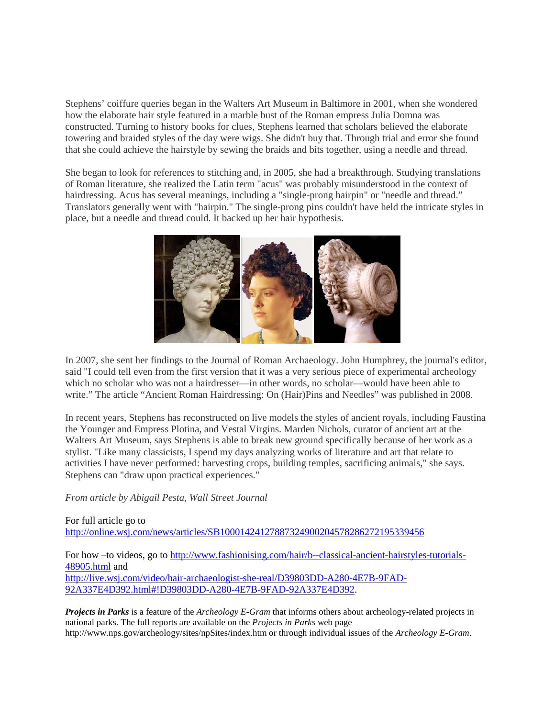Stephens' coiffure queries began in the Walters Art Museum in Baltimore in 2001, when she wondered how the elaborate hair style featured in a marble bust of the Roman empress Julia Domna was constructed. Turning to history books for clues, Stephens learned that scholars believed the elaborate towering and braided styles of the day were wigs. She didn't buy that. Through trial and error she found that she could achieve the hairstyle by sewing the braids and bits together, using a needle and thread.

She began to look for references to stitching and, in 2005, she had a breakthrough. Studying translations of Roman literature, she realized the Latin term "acus" was probably misunderstood in the context of hairdressing. Acus has several meanings, including a "single-prong hairpin" or "needle and thread." Translators generally went with "hairpin." The single-prong pins couldn't have held the intricate styles in place, but a needle and thread could. It backed up her hair hypothesis.



In 2007, she sent her findings to the Journal of Roman Archaeology. John Humphrey, the journal's editor, said "I could tell even from the first version that it was a very serious piece of experimental archeology which no scholar who was not a hairdresser—in other words, no scholar—would have been able to write." The article "Ancient Roman Hairdressing: On (Hair)Pins and Needles" was published in 2008.

In recent years, Stephens has reconstructed on live models the styles of ancient royals, including Faustina the Younger and Empress Plotina, and Vestal Virgins. Marden Nichols, curator of ancient art at the Walters Art Museum, says Stephens is able to break new ground specifically because of her work as a stylist. "Like many classicists, I spend my days analyzing works of literature and art that relate to activities I have never performed: harvesting crops, building temples, sacrificing animals," she says. Stephens can "draw upon practical experiences."

*From article by Abigail Pesta, Wall Street Journal*

For full article go to <http://online.wsj.com/news/articles/SB10001424127887324900204578286272195339456>

For how –to videos, go to [http://www.fashionising.com/hair/b--classical-ancient-hairstyles-tutorials-](http://www.fashionising.com/hair/b--classical-ancient-hairstyles-tutorials-48905.html)[48905.html](http://www.fashionising.com/hair/b--classical-ancient-hairstyles-tutorials-48905.html) and [http://live.wsj.com/video/hair-archaeologist-she-real/D39803DD-A280-4E7B-9FAD-](http://live.wsj.com/video/hair-archaeologist-she-real/D39803DD-A280-4E7B-9FAD-92A337E4D392.html#!D39803DD-A280-4E7B-9FAD-92A337E4D392)[92A337E4D392.html#!D39803DD-A280-4E7B-9FAD-92A337E4D392.](http://live.wsj.com/video/hair-archaeologist-she-real/D39803DD-A280-4E7B-9FAD-92A337E4D392.html#!D39803DD-A280-4E7B-9FAD-92A337E4D392)

*Projects in Parks* is a feature of the *Archeology E-Gram* that informs others about archeology-related projects in national parks. The full reports are available on the *Projects in Parks* web page http://www.nps.gov/archeology/sites/npSites/index.htm or through individual issues of the *Archeology E-Gram*.